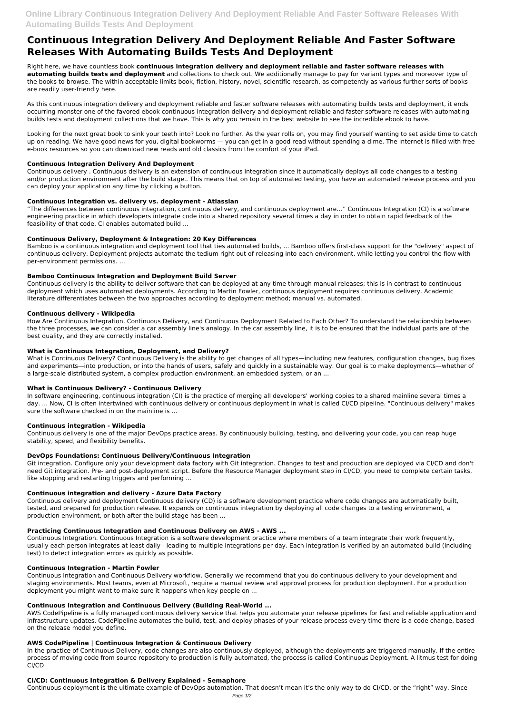# **Continuous Integration Delivery And Deployment Reliable And Faster Software Releases With Automating Builds Tests And Deployment**

Right here, we have countless book **continuous integration delivery and deployment reliable and faster software releases with automating builds tests and deployment** and collections to check out. We additionally manage to pay for variant types and moreover type of the books to browse. The within acceptable limits book, fiction, history, novel, scientific research, as competently as various further sorts of books are readily user-friendly here.

As this continuous integration delivery and deployment reliable and faster software releases with automating builds tests and deployment, it ends occurring monster one of the favored ebook continuous integration delivery and deployment reliable and faster software releases with automating builds tests and deployment collections that we have. This is why you remain in the best website to see the incredible ebook to have.

Looking for the next great book to sink your teeth into? Look no further. As the year rolls on, you may find yourself wanting to set aside time to catch up on reading. We have good news for you, digital bookworms — you can get in a good read without spending a dime. The internet is filled with free e-book resources so you can download new reads and old classics from the comfort of your iPad.

## **Continuous Integration Delivery And Deployment**

Continuous delivery . Continuous delivery is an extension of continuous integration since it automatically deploys all code changes to a testing and/or production environment after the build stage.. This means that on top of automated testing, you have an automated release process and you can deploy your application any time by clicking a button.

## **Continuous integration vs. delivery vs. deployment - Atlassian**

"The differences between continuous integration, continuous delivery, and continuous deployment are…" Continuous Integration (CI) is a software engineering practice in which developers integrate code into a shared repository several times a day in order to obtain rapid feedback of the feasibility of that code. CI enables automated build ...

## **Continuous Delivery, Deployment & Integration: 20 Key Differences**

Bamboo is a continuous integration and deployment tool that ties automated builds, ... Bamboo offers first-class support for the "delivery" aspect of continuous delivery. Deployment projects automate the tedium right out of releasing into each environment, while letting you control the flow with per-environment permissions. ...

# **Bamboo Continuous Integration and Deployment Build Server**

Continuous delivery is the ability to deliver software that can be deployed at any time through manual releases; this is in contrast to continuous deployment which uses automated deployments. According to Martin Fowler, continuous deployment requires continuous delivery. Academic literature differentiates between the two approaches according to deployment method; manual vs. automated.

#### **Continuous delivery - Wikipedia**

How Are Continuous Integration, Continuous Delivery, and Continuous Deployment Related to Each Other? To understand the relationship between the three processes, we can consider a car assembly line's analogy. In the car assembly line, it is to be ensured that the individual parts are of the best quality, and they are correctly installed.

# **What is Continuous Integration, Deployment, and Delivery?**

What is Continuous Delivery? Continuous Delivery is the ability to get changes of all types—including new features, configuration changes, bug fixes and experiments—into production, or into the hands of users, safely and quickly in a sustainable way. Our goal is to make deployments—whether of a large-scale distributed system, a complex production environment, an embedded system, or an ...

# **What is Continuous Delivery? - Continuous Delivery**

In software engineering, continuous integration (CI) is the practice of merging all developers' working copies to a shared mainline several times a day. ... Now, CI is often intertwined with continuous delivery or continuous deployment in what is called CI/CD pipeline. "Continuous delivery" makes sure the software checked in on the mainline is ...

#### **Continuous integration - Wikipedia**

Continuous delivery is one of the major DevOps practice areas. By continuously building, testing, and delivering your code, you can reap huge stability, speed, and flexibility benefits.

#### **DevOps Foundations: Continuous Delivery/Continuous Integration**

Git integration. Configure only your development data factory with Git integration. Changes to test and production are deployed via CI/CD and don't need Git integration. Pre- and post-deployment script. Before the Resource Manager deployment step in CI/CD, you need to complete certain tasks, like stopping and restarting triggers and performing ...

# **Continuous integration and delivery - Azure Data Factory**

Continuous delivery and deployment Continuous delivery (CD) is a software development practice where code changes are automatically built, tested, and prepared for production release. It expands on continuous integration by deploying all code changes to a testing environment, a production environment, or both after the build stage has been ...

#### **Practicing Continuous Integration and Continuous Delivery on AWS - AWS ...**

Continuous Integration. Continuous Integration is a software development practice where members of a team integrate their work frequently, usually each person integrates at least daily - leading to multiple integrations per day. Each integration is verified by an automated build (including test) to detect integration errors as quickly as possible.

#### **Continuous Integration - Martin Fowler**

Continuous Integration and Continuous Delivery workflow. Generally we recommend that you do continuous delivery to your development and staging environments. Most teams, even at Microsoft, require a manual review and approval process for production deployment. For a production deployment you might want to make sure it happens when key people on ...

#### **Continuous Integration and Continuous Delivery (Building Real-World ...**

AWS CodePipeline is a fully managed continuous delivery service that helps you automate your release pipelines for fast and reliable application and infrastructure updates. CodePipeline automates the build, test, and deploy phases of your release process every time there is a code change, based on the release model you define.

#### **AWS CodePipeline | Continuous Integration & Continuous Delivery**

In the practice of Continuous Delivery, code changes are also continuously deployed, although the deployments are triggered manually. If the entire process of moving code from source repository to production is fully automated, the process is called Continuous Deployment. A litmus test for doing CI/CD

#### **CI/CD: Continuous Integration & Delivery Explained - Semaphore**

Continuous deployment is the ultimate example of DevOps automation. That doesn't mean it's the only way to do CI/CD, or the "right" way. Since